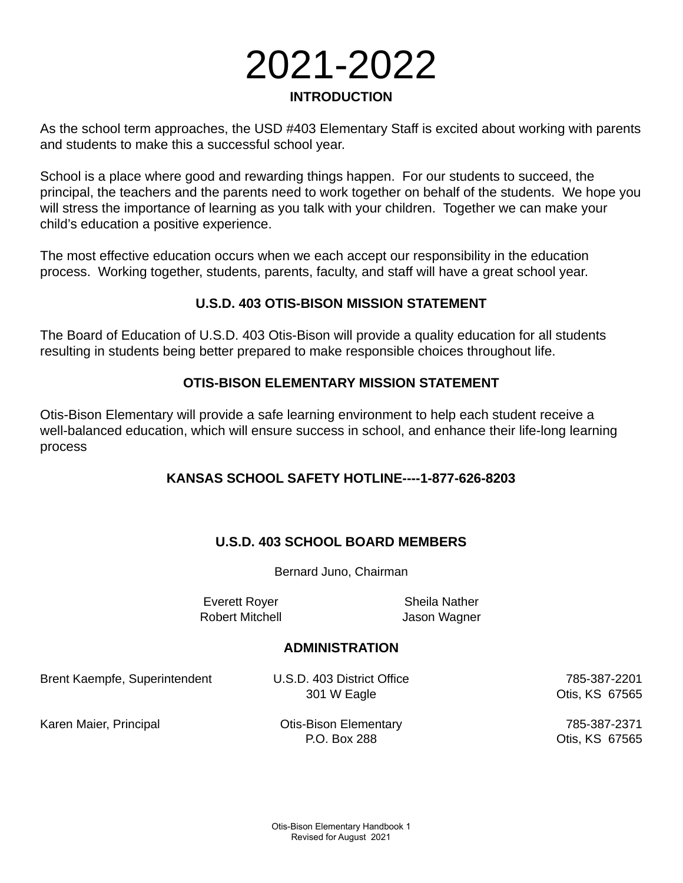# 2021-2022 **INTRODUCTION**

As the school term approaches, the USD #403 Elementary Staff is excited about working with parents and students to make this a successful school year.

School is a place where good and rewarding things happen. For our students to succeed, the principal, the teachers and the parents need to work together on behalf of the students. We hope you will stress the importance of learning as you talk with your children. Together we can make your child's education a positive experience.

The most effective education occurs when we each accept our responsibility in the education process. Working together, students, parents, faculty, and staff will have a great school year.

## **U.S.D. 403 OTIS-BISON MISSION STATEMENT**

The Board of Education of U.S.D. 403 Otis-Bison will provide a quality education for all students resulting in students being better prepared to make responsible choices throughout life.

## **OTIS-BISON ELEMENTARY MISSION STATEMENT**

Otis-Bison Elementary will provide a safe learning environment to help each student receive a well-balanced education, which will ensure success in school, and enhance their life-long learning process

## **KANSAS SCHOOL SAFETY HOTLINE----1-877-626-8203**

## **U.S.D. 403 SCHOOL BOARD MEMBERS**

Bernard Juno, Chairman

Everett Royer Sheila Nather Robert Mitchell Jason Wagner

#### **ADMINISTRATION**

Brent Kaempfe, Superintendent U.S.D. 403 District Office 785-387-2201

301 W Eagle **Otis, KS** 67565

Karen Maier, Principal **Carlo Communist Communist Communist Communist Communist Communist Communist Communist Communist Communist Communist Communist Communist Communist Communist Communist Communist Communist Communist Co** 

P.O. Box 288 Changes Communication Communication Communication Communication Communication Communication Communication Communication Communication Communication Communication Communication Communication Communication Commu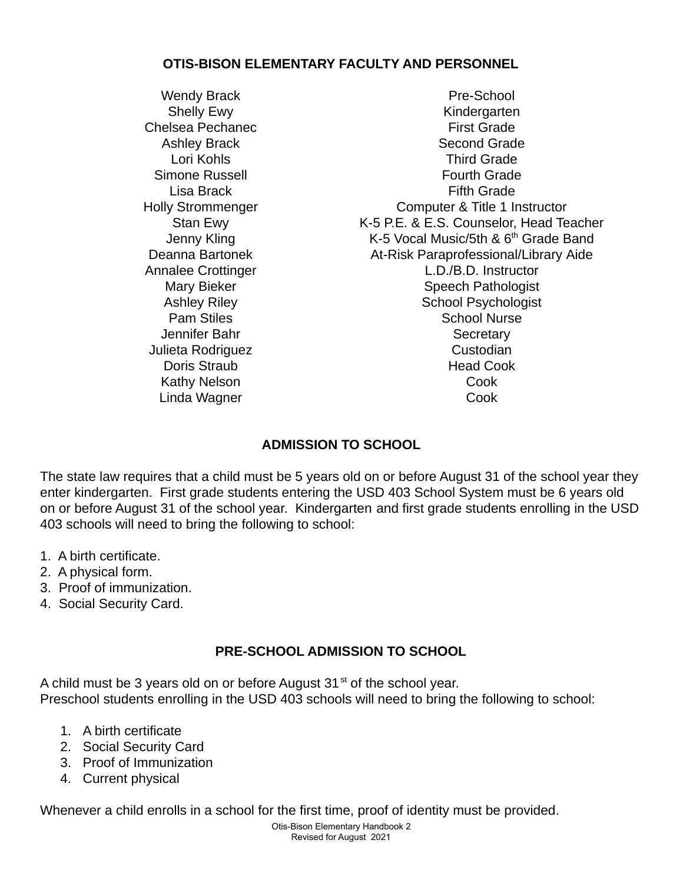## **OTIS-BISON ELEMENTARY FACULTY AND PERSONNEL**

Linda Wagner Cook

Wendy Brack **Pre-School** Shelly Ewy **Kindergarten** Chelsea Pechanec **First Grade** Ashley Brack Second Grade Lori Kohls Third Grade Simone Russell **Simone Russell Fourth Grade** Lisa Brack **Fifth Grade** Holly Strommenger Computer & Title 1 Instructor Stan Ewy **K-5 P.E. & E.S. Counselor, Head Teacher** Jenny Kling Mathematic K-5 Vocal Music/5th & 6<sup>th</sup> Grade Band Deanna Bartonek **At-Risk Paraprofessional/Library Aide** Annalee Crottinger **L.D.**/B.D. Instructor Mary Bieker Speech Pathologist Ashley Riley<br>
Pam Stiles<br>
Pam Stiles<br>
School Nurse School Nurse Jennifer Bahr Secretary Julieta Rodriguez **Custodian** Doris Straub **Head Cook** Kathy Nelson **Cook** 

# **ADMISSION TO SCHOOL**

The state law requires that a child must be 5 years old on or before August 31 of the school year they enter kindergarten. First grade students entering the USD 403 School System must be 6 years old on or before August 31 of the school year. Kindergarten and first grade students enrolling in the USD 403 schools will need to bring the following to school:

- 1. A birth certificate.
- 2. A physical form.
- 3. Proof of immunization.
- 4. Social Security Card.

# **PRE-SCHOOL ADMISSION TO SCHOOL**

A child must be 3 years old on or before August  $31<sup>st</sup>$  of the school year. Preschool students enrolling in the USD 403 schools will need to bring the following to school:

- 1. A birth certificate
- 2. Social Security Card
- 3. Proof of Immunization
- 4. Current physical

Whenever a child enrolls in a school for the first time, proof of identity must be provided.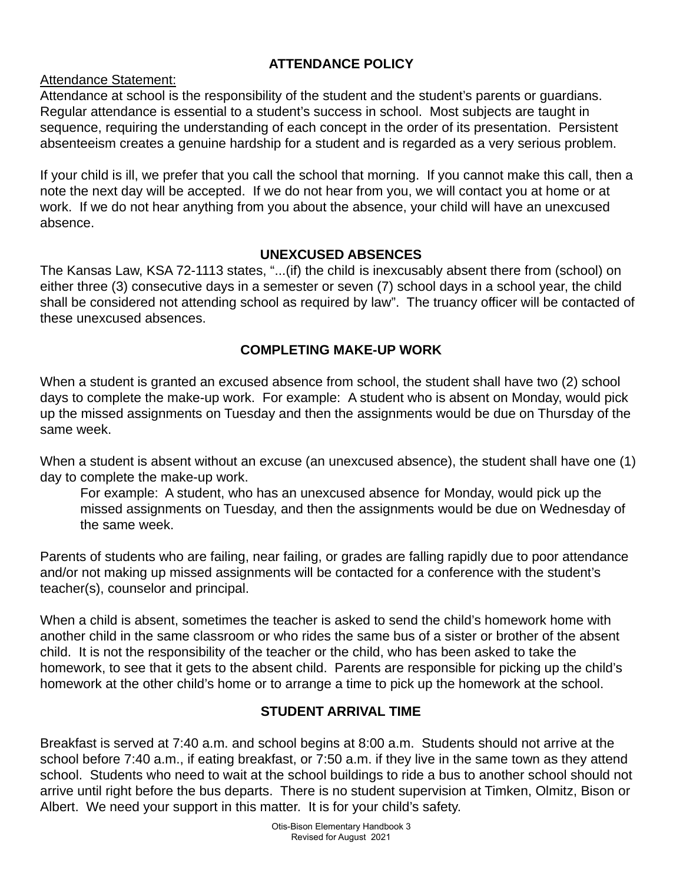# **ATTENDANCE POLICY**

Attendance Statement:

Attendance at school is the responsibility of the student and the student's parents or guardians. Regular attendance is essential to a student's success in school. Most subjects are taught in sequence, requiring the understanding of each concept in the order of its presentation. Persistent absenteeism creates a genuine hardship for a student and is regarded as a very serious problem.

If your child is ill, we prefer that you call the school that morning. If you cannot make this call, then a note the next day will be accepted. If we do not hear from you, we will contact you at home or at work. If we do not hear anything from you about the absence, your child will have an unexcused absence.

# **UNEXCUSED ABSENCES**

The Kansas Law, KSA 72-1113 states, "...(if) the child is inexcusably absent there from (school) on either three (3) consecutive days in a semester or seven (7) school days in a school year, the child shall be considered not attending school as required by law". The truancy officer will be contacted of these unexcused absences.

## **COMPLETING MAKE-UP WORK**

When a student is granted an excused absence from school, the student shall have two (2) school days to complete the make-up work. For example: A student who is absent on Monday, would pick up the missed assignments on Tuesday and then the assignments would be due on Thursday of the same week.

When a student is absent without an excuse (an unexcused absence), the student shall have one (1) day to complete the make-up work.

For example: A student, who has an unexcused absence for Monday, would pick up the missed assignments on Tuesday, and then the assignments would be due on Wednesday of the same week.

Parents of students who are failing, near failing, or grades are falling rapidly due to poor attendance and/or not making up missed assignments will be contacted for a conference with the student's teacher(s), counselor and principal.

When a child is absent, sometimes the teacher is asked to send the child's homework home with another child in the same classroom or who rides the same bus of a sister or brother of the absent child. It is not the responsibility of the teacher or the child, who has been asked to take the homework, to see that it gets to the absent child. Parents are responsible for picking up the child's homework at the other child's home or to arrange a time to pick up the homework at the school.

# **STUDENT ARRIVAL TIME**

Breakfast is served at 7:40 a.m. and school begins at 8:00 a.m. Students should not arrive at the school before 7:40 a.m., if eating breakfast, or 7:50 a.m. if they live in the same town as they attend school. Students who need to wait at the school buildings to ride a bus to another school should not arrive until right before the bus departs. There is no student supervision at Timken, Olmitz, Bison or Albert. We need your support in this matter. It is for your child's safety.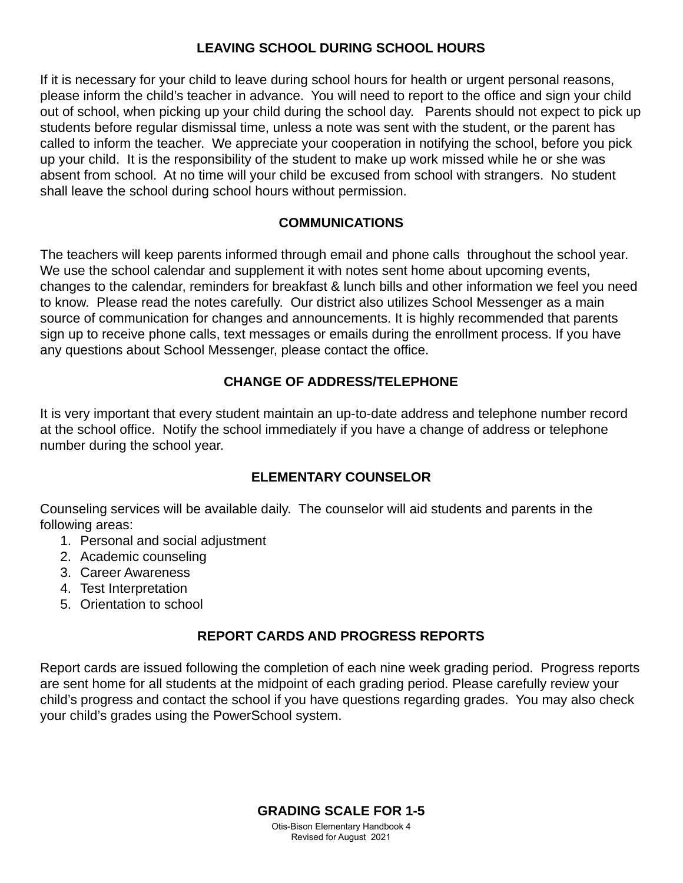## **LEAVING SCHOOL DURING SCHOOL HOURS**

If it is necessary for your child to leave during school hours for health or urgent personal reasons, please inform the child's teacher in advance. You will need to report to the office and sign your child out of school, when picking up your child during the school day. Parents should not expect to pick up students before regular dismissal time, unless a note was sent with the student, or the parent has called to inform the teacher. We appreciate your cooperation in notifying the school, before you pick up your child. It is the responsibility of the student to make up work missed while he or she was absent from school. At no time will your child be excused from school with strangers. No student shall leave the school during school hours without permission.

## **COMMUNICATIONS**

The teachers will keep parents informed through email and phone calls throughout the school year. We use the school calendar and supplement it with notes sent home about upcoming events, changes to the calendar, reminders for breakfast & lunch bills and other information we feel you need to know. Please read the notes carefully. Our district also utilizes School Messenger as a main source of communication for changes and announcements. It is highly recommended that parents sign up to receive phone calls, text messages or emails during the enrollment process. If you have any questions about School Messenger, please contact the office.

## **CHANGE OF ADDRESS/TELEPHONE**

It is very important that every student maintain an up-to-date address and telephone number record at the school office. Notify the school immediately if you have a change of address or telephone number during the school year.

## **ELEMENTARY COUNSELOR**

Counseling services will be available daily. The counselor will aid students and parents in the following areas:

- 1. Personal and social adjustment
- 2. Academic counseling
- 3. Career Awareness
- 4. Test Interpretation
- 5. Orientation to school

# **REPORT CARDS AND PROGRESS REPORTS**

Report cards are issued following the completion of each nine week grading period. Progress reports are sent home for all students at the midpoint of each grading period. Please carefully review your child's progress and contact the school if you have questions regarding grades. You may also check your child's grades using the PowerSchool system.

## **GRADING SCALE FOR 1-5**

Otis-Bison Elementary Handbook 4 Revised for August 2021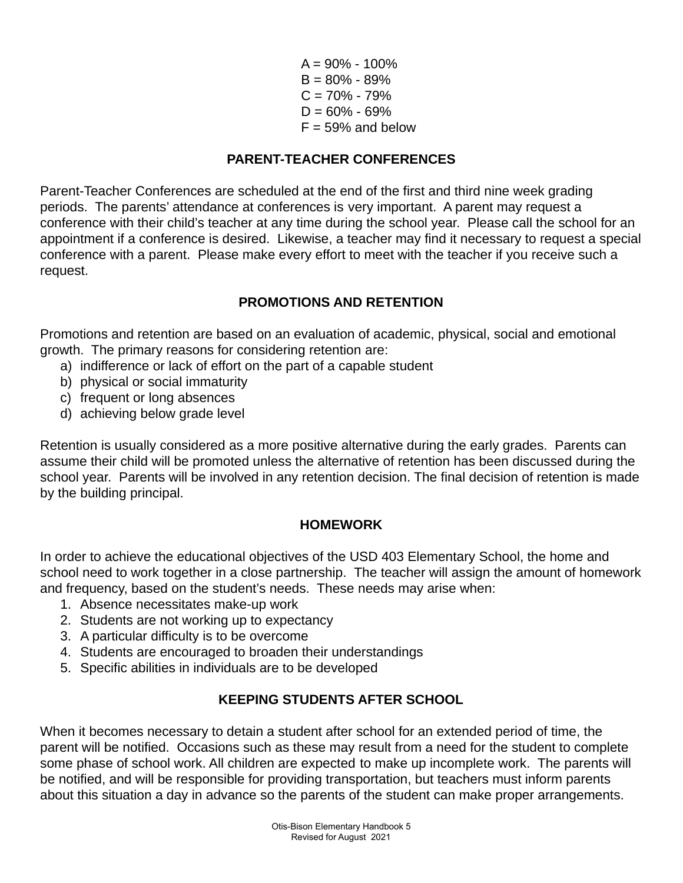$A = 90\% - 100\%$  $B = 80% - 89%$  $C = 70\% - 79\%$  $D = 60\% - 69\%$  $F = 59%$  and below

# **PARENT-TEACHER CONFERENCES**

Parent-Teacher Conferences are scheduled at the end of the first and third nine week grading periods. The parents' attendance at conferences is very important. A parent may request a conference with their child's teacher at any time during the school year. Please call the school for an appointment if a conference is desired. Likewise, a teacher may find it necessary to request a special conference with a parent. Please make every effort to meet with the teacher if you receive such a request.

## **PROMOTIONS AND RETENTION**

Promotions and retention are based on an evaluation of academic, physical, social and emotional growth. The primary reasons for considering retention are:

- a) indifference or lack of effort on the part of a capable student
- b) physical or social immaturity
- c) frequent or long absences
- d) achieving below grade level

Retention is usually considered as a more positive alternative during the early grades. Parents can assume their child will be promoted unless the alternative of retention has been discussed during the school year. Parents will be involved in any retention decision. The final decision of retention is made by the building principal.

## **HOMEWORK**

In order to achieve the educational objectives of the USD 403 Elementary School, the home and school need to work together in a close partnership. The teacher will assign the amount of homework and frequency, based on the student's needs. These needs may arise when:

- 1. Absence necessitates make-up work
- 2. Students are not working up to expectancy
- 3. A particular difficulty is to be overcome
- 4. Students are encouraged to broaden their understandings
- 5. Specific abilities in individuals are to be developed

# **KEEPING STUDENTS AFTER SCHOOL**

When it becomes necessary to detain a student after school for an extended period of time, the parent will be notified. Occasions such as these may result from a need for the student to complete some phase of school work. All children are expected to make up incomplete work. The parents will be notified, and will be responsible for providing transportation, but teachers must inform parents about this situation a day in advance so the parents of the student can make proper arrangements.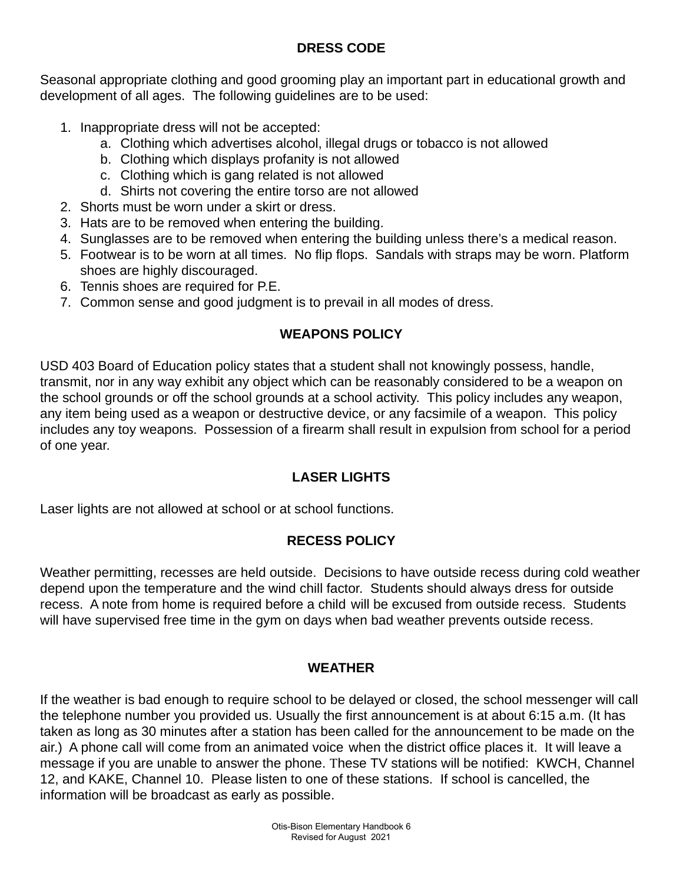# **DRESS CODE**

Seasonal appropriate clothing and good grooming play an important part in educational growth and development of all ages. The following guidelines are to be used:

- 1. Inappropriate dress will not be accepted:
	- a. Clothing which advertises alcohol, illegal drugs or tobacco is not allowed
	- b. Clothing which displays profanity is not allowed
	- c. Clothing which is gang related is not allowed
	- d. Shirts not covering the entire torso are not allowed
- 2. Shorts must be worn under a skirt or dress.
- 3. Hats are to be removed when entering the building.
- 4. Sunglasses are to be removed when entering the building unless there's a medical reason.
- 5. Footwear is to be worn at all times. No flip flops. Sandals with straps may be worn. Platform shoes are highly discouraged.
- 6. Tennis shoes are required for P.E.
- 7. Common sense and good judgment is to prevail in all modes of dress.

# **WEAPONS POLICY**

USD 403 Board of Education policy states that a student shall not knowingly possess, handle, transmit, nor in any way exhibit any object which can be reasonably considered to be a weapon on the school grounds or off the school grounds at a school activity. This policy includes any weapon, any item being used as a weapon or destructive device, or any facsimile of a weapon. This policy includes any toy weapons. Possession of a firearm shall result in expulsion from school for a period of one year.

# **LASER LIGHTS**

Laser lights are not allowed at school or at school functions.

# **RECESS POLICY**

Weather permitting, recesses are held outside. Decisions to have outside recess during cold weather depend upon the temperature and the wind chill factor. Students should always dress for outside recess. A note from home is required before a child will be excused from outside recess. Students will have supervised free time in the gym on days when bad weather prevents outside recess.

# **WEATHER**

If the weather is bad enough to require school to be delayed or closed, the school messenger will call the telephone number you provided us. Usually the first announcement is at about 6:15 a.m. (It has taken as long as 30 minutes after a station has been called for the announcement to be made on the air.) A phone call will come from an animated voice when the district office places it. It will leave a message if you are unable to answer the phone. These TV stations will be notified: KWCH, Channel 12, and KAKE, Channel 10. Please listen to one of these stations. If school is cancelled, the information will be broadcast as early as possible.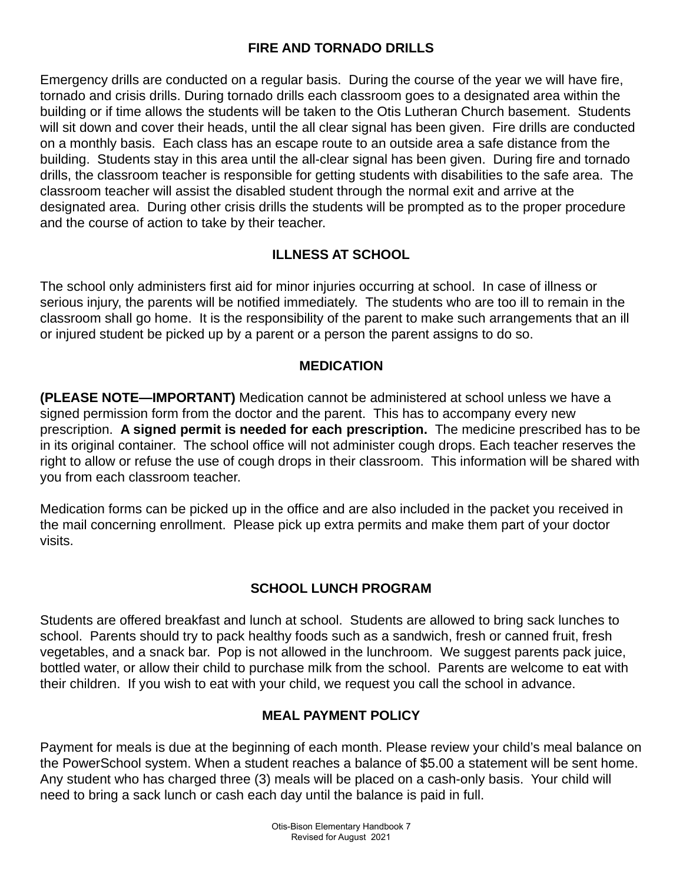# **FIRE AND TORNADO DRILLS**

Emergency drills are conducted on a regular basis. During the course of the year we will have fire, tornado and crisis drills. During tornado drills each classroom goes to a designated area within the building or if time allows the students will be taken to the Otis Lutheran Church basement. Students will sit down and cover their heads, until the all clear signal has been given. Fire drills are conducted on a monthly basis. Each class has an escape route to an outside area a safe distance from the building. Students stay in this area until the all-clear signal has been given. During fire and tornado drills, the classroom teacher is responsible for getting students with disabilities to the safe area. The classroom teacher will assist the disabled student through the normal exit and arrive at the designated area. During other crisis drills the students will be prompted as to the proper procedure and the course of action to take by their teacher.

# **ILLNESS AT SCHOOL**

The school only administers first aid for minor injuries occurring at school. In case of illness or serious injury, the parents will be notified immediately. The students who are too ill to remain in the classroom shall go home. It is the responsibility of the parent to make such arrangements that an ill or injured student be picked up by a parent or a person the parent assigns to do so.

## **MEDICATION**

**(PLEASE NOTE—IMPORTANT)** Medication cannot be administered at school unless we have a signed permission form from the doctor and the parent. This has to accompany every new prescription. **A signed permit is needed for each prescription.** The medicine prescribed has to be in its original container. The school office will not administer cough drops. Each teacher reserves the right to allow or refuse the use of cough drops in their classroom. This information will be shared with you from each classroom teacher.

Medication forms can be picked up in the office and are also included in the packet you received in the mail concerning enrollment. Please pick up extra permits and make them part of your doctor visits.

# **SCHOOL LUNCH PROGRAM**

Students are offered breakfast and lunch at school. Students are allowed to bring sack lunches to school. Parents should try to pack healthy foods such as a sandwich, fresh or canned fruit, fresh vegetables, and a snack bar. Pop is not allowed in the lunchroom. We suggest parents pack juice, bottled water, or allow their child to purchase milk from the school. Parents are welcome to eat with their children. If you wish to eat with your child, we request you call the school in advance.

# **MEAL PAYMENT POLICY**

Payment for meals is due at the beginning of each month. Please review your child's meal balance on the PowerSchool system. When a student reaches a balance of \$5.00 a statement will be sent home. Any student who has charged three (3) meals will be placed on a cash-only basis. Your child will need to bring a sack lunch or cash each day until the balance is paid in full.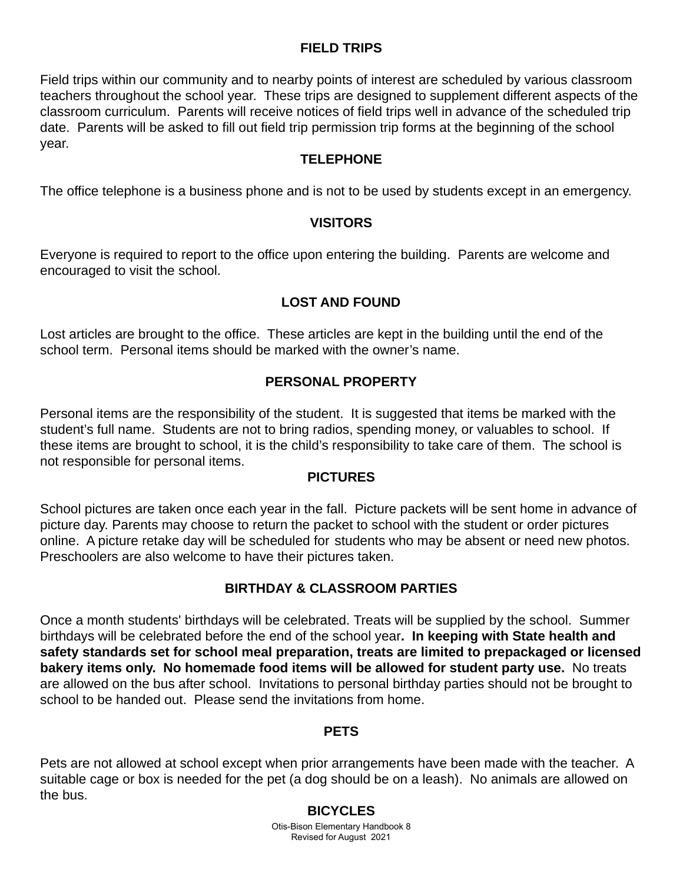## **FIELD TRIPS**

Field trips within our community and to nearby points of interest are scheduled by various classroom teachers throughout the school year. These trips are designed to supplement different aspects of the classroom curriculum. Parents will receive notices of field trips well in advance of the scheduled trip date. Parents will be asked to fill out field trip permission trip forms at the beginning of the school year.

## **TELEPHONE**

The office telephone is a business phone and is not to be used by students except in an emergency.

## **VISITORS**

Everyone is required to report to the office upon entering the building. Parents are welcome and encouraged to visit the school.

# **LOST AND FOUND**

Lost articles are brought to the office. These articles are kept in the building until the end of the school term. Personal items should be marked with the owner's name.

## **PERSONAL PROPERTY**

Personal items are the responsibility of the student. It is suggested that items be marked with the student's full name. Students are not to bring radios, spending money, or valuables to school. If these items are brought to school, it is the child's responsibility to take care of them. The school is not responsible for personal items.

## **PICTURES**

School pictures are taken once each year in the fall. Picture packets will be sent home in advance of picture day. Parents may choose to return the packet to school with the student or order pictures online. A picture retake day will be scheduled for students who may be absent or need new photos. Preschoolers are also welcome to have their pictures taken.

# **BIRTHDAY & CLASSROOM PARTIES**

Once a month students' birthdays will be celebrated. Treats will be supplied by the school. Summer birthdays will be celebrated before the end of the school year**. In keeping with State health and safety standards set for school meal preparation, treats are limited to prepackaged or licensed bakery items only. No homemade food items will be allowed for student party use.** No treats are allowed on the bus after school. Invitations to personal birthday parties should not be brought to school to be handed out. Please send the invitations from home.

## **PETS**

Pets are not allowed at school except when prior arrangements have been made with the teacher. A suitable cage or box is needed for the pet (a dog should be on a leash). No animals are allowed on the bus.

## **BICYCLES**

Otis-Bison Elementary Handbook 8 Revised for August 2021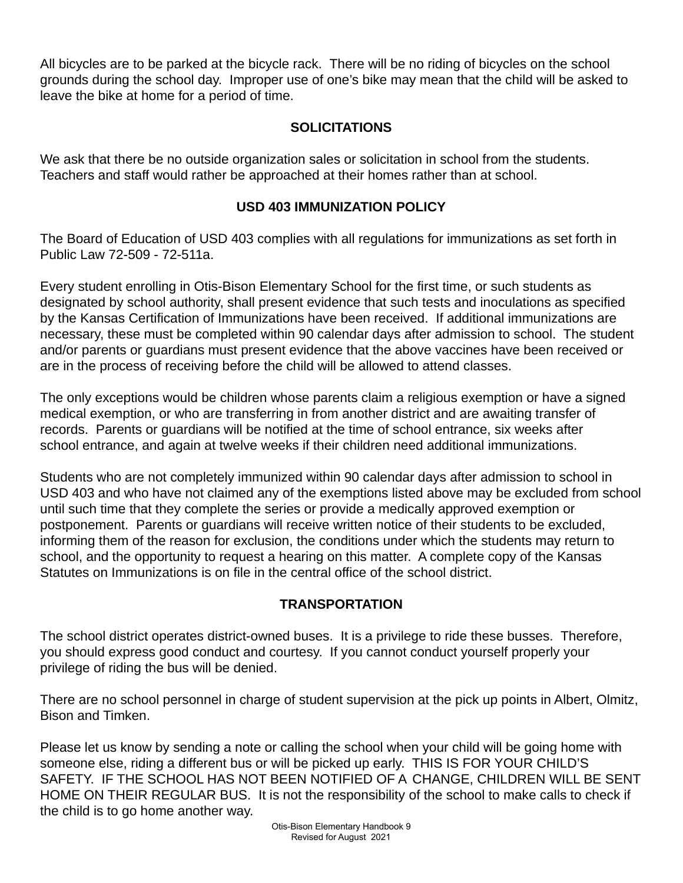All bicycles are to be parked at the bicycle rack. There will be no riding of bicycles on the school grounds during the school day. Improper use of one's bike may mean that the child will be asked to leave the bike at home for a period of time.

# **SOLICITATIONS**

We ask that there be no outside organization sales or solicitation in school from the students. Teachers and staff would rather be approached at their homes rather than at school.

## **USD 403 IMMUNIZATION POLICY**

The Board of Education of USD 403 complies with all regulations for immunizations as set forth in Public Law 72-509 - 72-511a.

Every student enrolling in Otis-Bison Elementary School for the first time, or such students as designated by school authority, shall present evidence that such tests and inoculations as specified by the Kansas Certification of Immunizations have been received. If additional immunizations are necessary, these must be completed within 90 calendar days after admission to school. The student and/or parents or guardians must present evidence that the above vaccines have been received or are in the process of receiving before the child will be allowed to attend classes.

The only exceptions would be children whose parents claim a religious exemption or have a signed medical exemption, or who are transferring in from another district and are awaiting transfer of records. Parents or guardians will be notified at the time of school entrance, six weeks after school entrance, and again at twelve weeks if their children need additional immunizations.

Students who are not completely immunized within 90 calendar days after admission to school in USD 403 and who have not claimed any of the exemptions listed above may be excluded from school until such time that they complete the series or provide a medically approved exemption or postponement. Parents or guardians will receive written notice of their students to be excluded, informing them of the reason for exclusion, the conditions under which the students may return to school, and the opportunity to request a hearing on this matter. A complete copy of the Kansas Statutes on Immunizations is on file in the central office of the school district.

# **TRANSPORTATION**

The school district operates district-owned buses. It is a privilege to ride these busses. Therefore, you should express good conduct and courtesy. If you cannot conduct yourself properly your privilege of riding the bus will be denied.

There are no school personnel in charge of student supervision at the pick up points in Albert, Olmitz, Bison and Timken.

Please let us know by sending a note or calling the school when your child will be going home with someone else, riding a different bus or will be picked up early. THIS IS FOR YOUR CHILD'S SAFETY. IF THE SCHOOL HAS NOT BEEN NOTIFIED OF A CHANGE, CHILDREN WILL BE SENT HOME ON THEIR REGULAR BUS. It is not the responsibility of the school to make calls to check if the child is to go home another way.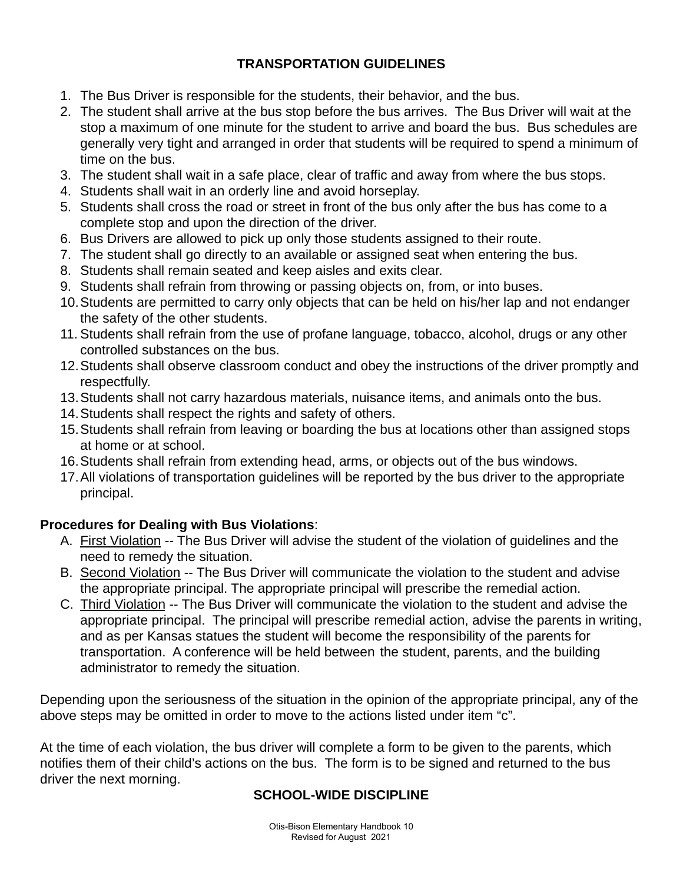# **TRANSPORTATION GUIDELINES**

- 1. The Bus Driver is responsible for the students, their behavior, and the bus.
- 2. The student shall arrive at the bus stop before the bus arrives. The Bus Driver will wait at the stop a maximum of one minute for the student to arrive and board the bus. Bus schedules are generally very tight and arranged in order that students will be required to spend a minimum of time on the bus.
- 3. The student shall wait in a safe place, clear of traffic and away from where the bus stops.
- 4. Students shall wait in an orderly line and avoid horseplay.
- 5. Students shall cross the road or street in front of the bus only after the bus has come to a complete stop and upon the direction of the driver.
- 6. Bus Drivers are allowed to pick up only those students assigned to their route.
- 7. The student shall go directly to an available or assigned seat when entering the bus.
- 8. Students shall remain seated and keep aisles and exits clear.
- 9. Students shall refrain from throwing or passing objects on, from, or into buses.
- 10.Students are permitted to carry only objects that can be held on his/her lap and not endanger the safety of the other students.
- 11. Students shall refrain from the use of profane language, tobacco, alcohol, drugs or any other controlled substances on the bus.
- 12.Students shall observe classroom conduct and obey the instructions of the driver promptly and respectfully.
- 13.Students shall not carry hazardous materials, nuisance items, and animals onto the bus.
- 14.Students shall respect the rights and safety of others.
- 15.Students shall refrain from leaving or boarding the bus at locations other than assigned stops at home or at school.
- 16.Students shall refrain from extending head, arms, or objects out of the bus windows.
- 17.All violations of transportation guidelines will be reported by the bus driver to the appropriate principal.

# **Procedures for Dealing with Bus Violations**:

- A. First Violation -- The Bus Driver will advise the student of the violation of guidelines and the need to remedy the situation.
- B. Second Violation -- The Bus Driver will communicate the violation to the student and advise the appropriate principal. The appropriate principal will prescribe the remedial action.
- C. Third Violation -- The Bus Driver will communicate the violation to the student and advise the appropriate principal. The principal will prescribe remedial action, advise the parents in writing, and as per Kansas statues the student will become the responsibility of the parents for transportation. A conference will be held between the student, parents, and the building administrator to remedy the situation.

Depending upon the seriousness of the situation in the opinion of the appropriate principal, any of the above steps may be omitted in order to move to the actions listed under item "c".

At the time of each violation, the bus driver will complete a form to be given to the parents, which notifies them of their child's actions on the bus. The form is to be signed and returned to the bus driver the next morning.

# **SCHOOL-WIDE DISCIPLINE**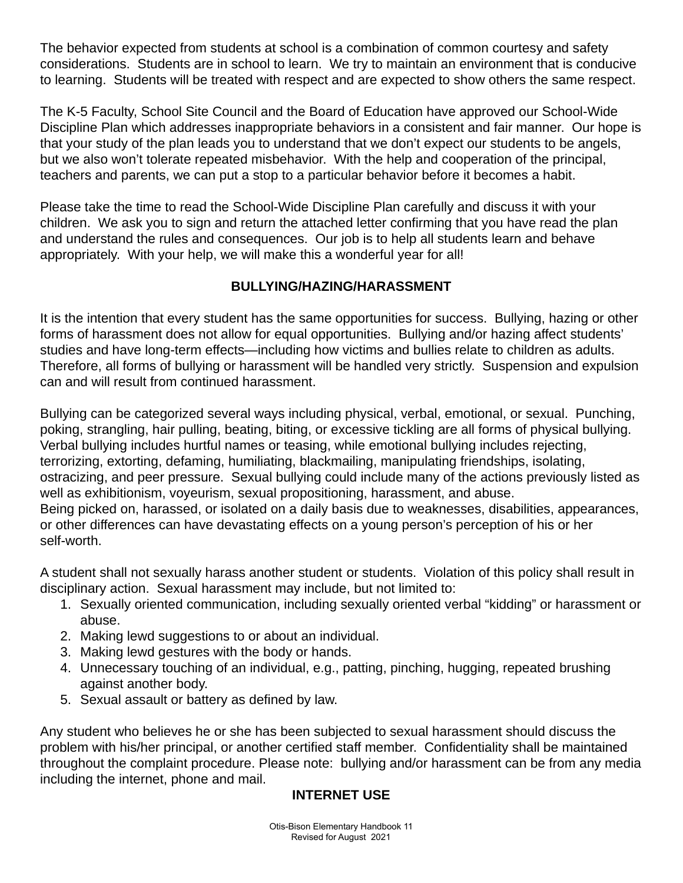The behavior expected from students at school is a combination of common courtesy and safety considerations. Students are in school to learn. We try to maintain an environment that is conducive to learning. Students will be treated with respect and are expected to show others the same respect.

The K-5 Faculty, School Site Council and the Board of Education have approved our School-Wide Discipline Plan which addresses inappropriate behaviors in a consistent and fair manner. Our hope is that your study of the plan leads you to understand that we don't expect our students to be angels, but we also won't tolerate repeated misbehavior. With the help and cooperation of the principal, teachers and parents, we can put a stop to a particular behavior before it becomes a habit.

Please take the time to read the School-Wide Discipline Plan carefully and discuss it with your children. We ask you to sign and return the attached letter confirming that you have read the plan and understand the rules and consequences. Our job is to help all students learn and behave appropriately. With your help, we will make this a wonderful year for all!

# **BULLYING/HAZING/HARASSMENT**

It is the intention that every student has the same opportunities for success. Bullying, hazing or other forms of harassment does not allow for equal opportunities. Bullying and/or hazing affect students' studies and have long-term effects—including how victims and bullies relate to children as adults. Therefore, all forms of bullying or harassment will be handled very strictly. Suspension and expulsion can and will result from continued harassment.

Bullying can be categorized several ways including physical, verbal, emotional, or sexual. Punching, poking, strangling, hair pulling, beating, biting, or excessive tickling are all forms of physical bullying. Verbal bullying includes hurtful names or teasing, while emotional bullying includes rejecting, terrorizing, extorting, defaming, humiliating, blackmailing, manipulating friendships, isolating, ostracizing, and peer pressure. Sexual bullying could include many of the actions previously listed as well as exhibitionism, voyeurism, sexual propositioning, harassment, and abuse. Being picked on, harassed, or isolated on a daily basis due to weaknesses, disabilities, appearances, or other differences can have devastating effects on a young person's perception of his or her self-worth.

A student shall not sexually harass another student or students. Violation of this policy shall result in disciplinary action. Sexual harassment may include, but not limited to:

- 1. Sexually oriented communication, including sexually oriented verbal "kidding" or harassment or abuse.
- 2. Making lewd suggestions to or about an individual.
- 3. Making lewd gestures with the body or hands.
- 4. Unnecessary touching of an individual, e.g., patting, pinching, hugging, repeated brushing against another body.
- 5. Sexual assault or battery as defined by law.

Any student who believes he or she has been subjected to sexual harassment should discuss the problem with his/her principal, or another certified staff member. Confidentiality shall be maintained throughout the complaint procedure. Please note: bullying and/or harassment can be from any media including the internet, phone and mail.

# **INTERNET USE**